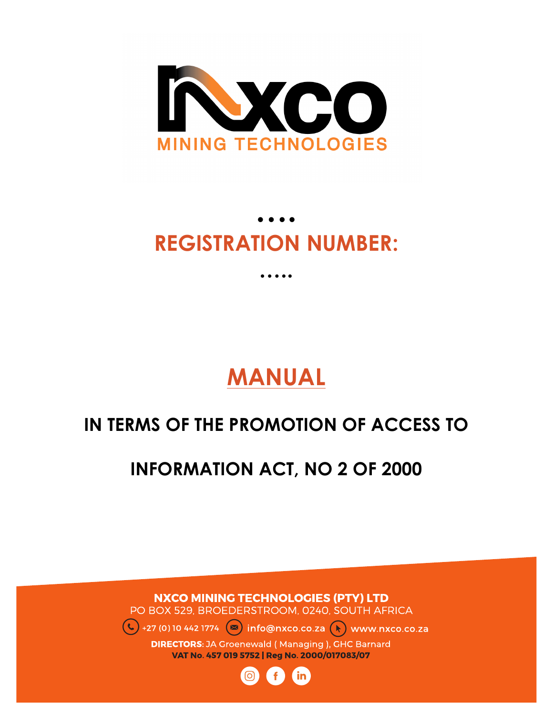

# **…. REGISTRATION NUMBER:**

**…..**

**MANUAL**

# **IN TERMS OF THE PROMOTION OF ACCESS TO**

**INFORMATION ACT, NO 2 OF 2000**

**NXCO MINING TECHNOLOGIES (PTY) LTD** PO BOX 529, BROEDERSTROOM, 0240, SOUTH AFRICA +27 (0) 10 442 1774  $(\infty)$  info@nxco.co.za  $(*)$  www.nxco.co.za

**DIRECTORS:** JA Groenewald (Managing), GHC Barnard VAT No. 457 019 5752 | Reg No. 2000/017083/07

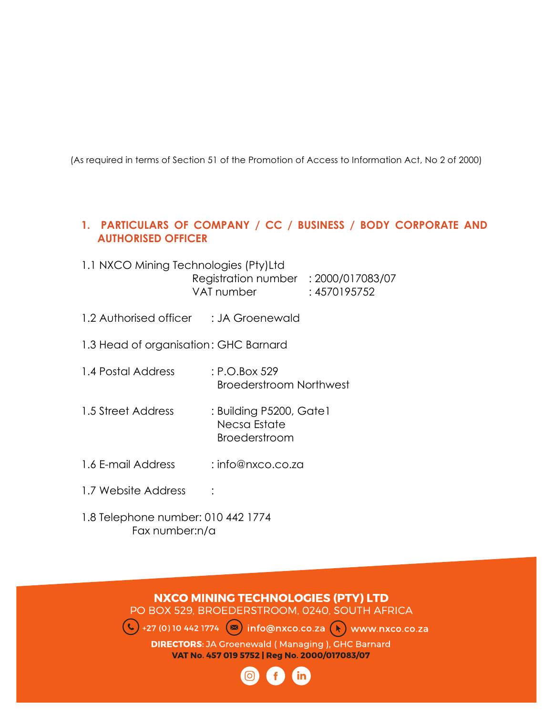(As required in terms of Section 51 of the Promotion of Access to Information Act, No 2 of 2000)

# **1. PARTICULARS OF COMPANY / CC / BUSINESS / BODY CORPORATE AND AUTHORISED OFFICER**

- 1.1 NXCO Mining Technologies (Pty)Ltd Registration number : 2000/017083/07 VAT number : 4570195752
- 1.2 Authorised officer : JA Groenewald
- 1.3 Head of organisation: GHC Barnard
- 1.4 Postal Address : P.O.Box 529 Broederstroom Northwest
- 1.5 Street Address : Building P5200, Gate1 Necsa Estate Broederstroom
- 1.6 E-mail Address : info@nxco.co.za
- 1.7 Website Address :
- 1.8 Telephone number: 010 442 1774 Fax number:n/a

**NXCO MINING TECHNOLOGIES (PTY) LTD** PO BOX 529, BROEDERSTROOM, 0240, SOUTH AFRICA +27 (0) 10 442 1774  $\bullet$  info@nxco.co.za  $\bullet$  www.nxco.co.za **DIRECTORS:** JA Groenewald (Managing), GHC Barnard VAT No. 457 019 5752 | Reg No. 2000/017083/07

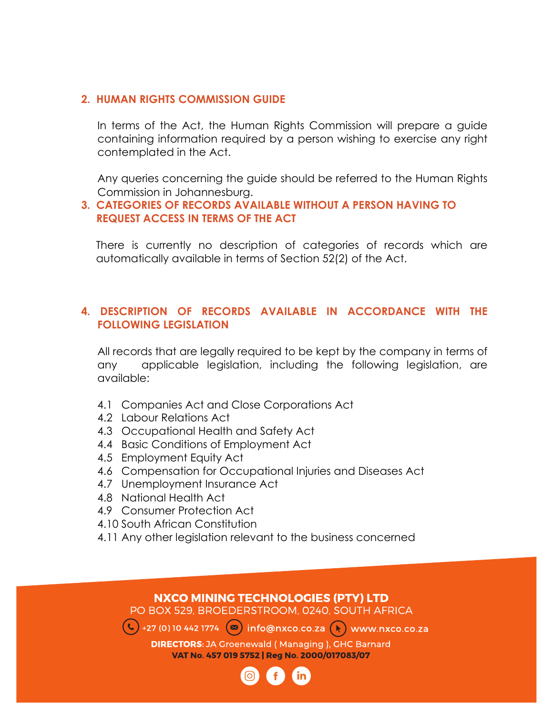#### **2. HUMAN RIGHTS COMMISSION GUIDE**

In terms of the Act, the Human Rights Commission will prepare a guide containing information required by a person wishing to exercise any right contemplated in the Act.

Any queries concerning the guide should be referred to the Human Rights Commission in Johannesburg.

#### **3. CATEGORIES OF RECORDS AVAILABLE WITHOUT A PERSON HAVING TO REQUEST ACCESS IN TERMS OF THE ACT**

There is currently no description of categories of records which are automatically available in terms of Section 52(2) of the Act.

#### **4. DESCRIPTION OF RECORDS AVAILABLE IN ACCORDANCE WITH THE FOLLOWING LEGISLATION**

All records that are legally required to be kept by the company in terms of any applicable legislation, including the following legislation, are available:

- 4.1 Companies Act and Close Corporations Act
- 4.2 Labour Relations Act
- 4.3 Occupational Health and Safety Act
- 4.4 Basic Conditions of Employment Act
- 4.5 Employment Equity Act
- 4.6 Compensation for Occupational Injuries and Diseases Act
- 4.7 Unemployment Insurance Act
- 4.8 National Health Act
- 4.9 Consumer Protection Act
- 4.10 South African Constitution
- 4.11 Any other legislation relevant to the business concerned

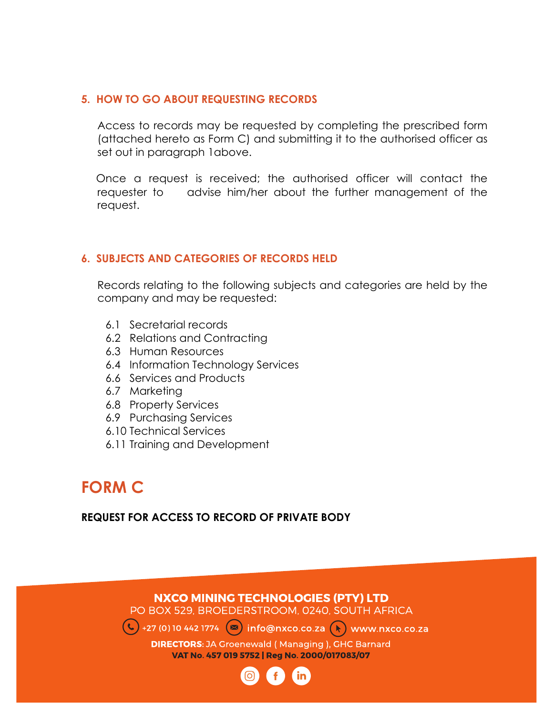#### **5. HOW TO GO ABOUT REQUESTING RECORDS**

Access to records may be requested by completing the prescribed form (attached hereto as Form C) and submitting it to the authorised officer as set out in paragraph 1above.

 Once a request is received; the authorised officer will contact the requester to advise him/her about the further management of the request.

#### **6. SUBJECTS AND CATEGORIES OF RECORDS HELD**

Records relating to the following subjects and categories are held by the company and may be requested:

- 6.1 Secretarial records
- 6.2 Relations and Contracting
- 6.3 Human Resources
- 6.4 Information Technology Services
- 6.6 Services and Products
- 6.7 Marketing
- 6.8 Property Services
- 6.9 Purchasing Services
- 6.10 Technical Services
- 6.11 Training and Development

# **FORM C**

#### **REQUEST FOR ACCESS TO RECORD OF PRIVATE BODY**



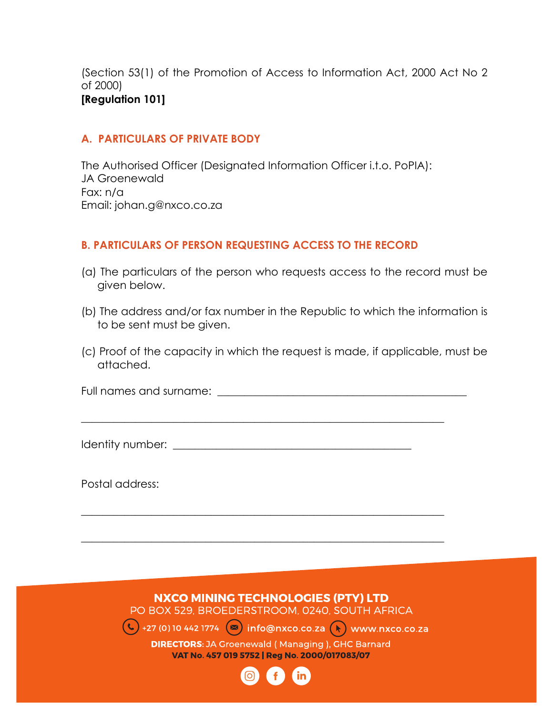(Section 53(1) of the Promotion of Access to Information Act, 2000 Act No 2 of 2000) **[Regulation 101]**

#### **A. PARTICULARS OF PRIVATE BODY**

The Authorised Officer (Designated Information Officer i.t.o. PoPIA): JA Groenewald Fax: n/a Email: johan.g@nxco.co.za

#### **B. PARTICULARS OF PERSON REQUESTING ACCESS TO THE RECORD**

- (a) The particulars of the person who requests access to the record must be given below.
- (b) The address and/or fax number in the Republic to which the information is to be sent must be given.
- (c) Proof of the capacity in which the request is made, if applicable, must be attached.

Full names and surname: \_\_\_\_\_\_\_\_\_\_\_\_\_\_\_\_\_\_\_\_\_\_\_\_\_\_\_\_\_\_\_\_\_\_\_\_\_\_\_\_\_\_\_\_\_\_

\_\_\_\_\_\_\_\_\_\_\_\_\_\_\_\_\_\_\_\_\_\_\_\_\_\_\_\_\_\_\_\_\_\_\_\_\_\_\_\_\_\_\_\_\_\_\_\_\_\_\_\_\_\_\_\_\_\_\_\_\_\_\_\_\_\_\_

\_\_\_\_\_\_\_\_\_\_\_\_\_\_\_\_\_\_\_\_\_\_\_\_\_\_\_\_\_\_\_\_\_\_\_\_\_\_\_\_\_\_\_\_\_\_\_\_\_\_\_\_\_\_\_\_\_\_\_\_\_\_\_\_\_\_\_

\_\_\_\_\_\_\_\_\_\_\_\_\_\_\_\_\_\_\_\_\_\_\_\_\_\_\_\_\_\_\_\_\_\_\_\_\_\_\_\_\_\_\_\_\_\_\_\_\_\_\_\_\_\_\_\_\_\_\_\_\_\_\_\_\_\_\_

Identity number:  $\blacksquare$ 

Postal address:

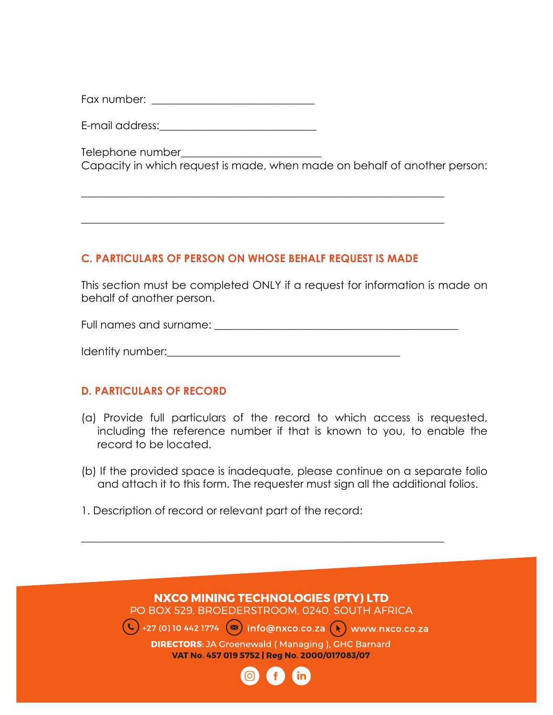Fax number:  $\overline{a}$ 

E-mail address:\_\_\_\_\_\_\_\_\_\_\_\_\_\_\_\_\_\_\_\_\_\_\_\_\_\_\_\_\_

Telephone number\_\_\_\_\_\_\_\_\_\_\_\_\_\_\_\_\_\_\_\_\_\_\_\_\_\_ Capacity in which request is made, when made on behalf of another person:

#### **C. PARTICULARS OF PERSON ON WHOSE BEHALF REQUEST IS MADE**

\_\_\_\_\_\_\_\_\_\_\_\_\_\_\_\_\_\_\_\_\_\_\_\_\_\_\_\_\_\_\_\_\_\_\_\_\_\_\_\_\_\_\_\_\_\_\_\_\_\_\_\_\_\_\_\_\_\_\_\_\_\_\_\_\_\_\_

\_\_\_\_\_\_\_\_\_\_\_\_\_\_\_\_\_\_\_\_\_\_\_\_\_\_\_\_\_\_\_\_\_\_\_\_\_\_\_\_\_\_\_\_\_\_\_\_\_\_\_\_\_\_\_\_\_\_\_\_\_\_\_\_\_\_\_

This section must be completed ONLY if a request for information is made on behalf of another person.

Full names and surname: \_\_\_\_\_\_\_\_\_\_\_\_\_\_\_\_\_\_\_\_\_\_\_\_\_\_\_\_\_\_\_\_\_\_\_\_\_\_\_\_\_\_\_\_\_

| Identity number: |
|------------------|
|------------------|

#### **D. PARTICULARS OF RECORD**

- (a) Provide full particulars of the record to which access is requested, including the reference number if that is known to you, to enable the record to be located.
- (b) If the provided space is inadequate, please continue on a separate folio and attach it to this form. The requester must sign all the additional folios.

\_\_\_\_\_\_\_\_\_\_\_\_\_\_\_\_\_\_\_\_\_\_\_\_\_\_\_\_\_\_\_\_\_\_\_\_\_\_\_\_\_\_\_\_\_\_\_\_\_\_\_\_\_\_\_\_\_\_\_\_\_\_\_\_\_\_\_

1. Description of record or relevant part of the record:

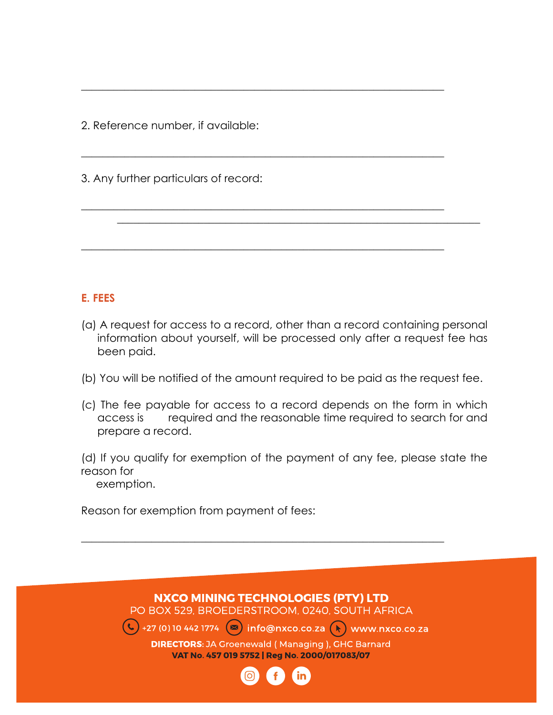2. Reference number, if available:

3. Any further particulars of record:

# **E. FEES**

(a) A request for access to a record, other than a record containing personal information about yourself, will be processed only after a request fee has been paid.

\_\_\_\_\_\_\_\_\_\_\_\_\_\_\_\_\_\_\_\_\_\_\_\_\_\_\_\_\_\_\_\_\_\_\_\_\_\_\_\_\_\_\_\_\_\_\_\_\_\_\_\_\_\_\_\_\_\_\_\_\_\_\_\_\_\_\_

\_\_\_\_\_\_\_\_\_\_\_\_\_\_\_\_\_\_\_\_\_\_\_\_\_\_\_\_\_\_\_\_\_\_\_\_\_\_\_\_\_\_\_\_\_\_\_\_\_\_\_\_\_\_\_\_\_\_\_\_\_\_\_\_\_\_\_

\_\_\_\_\_\_\_\_\_\_\_\_\_\_\_\_\_\_\_\_\_\_\_\_\_\_\_\_\_\_\_\_\_\_\_\_\_\_\_\_\_\_\_\_\_\_\_\_\_\_\_\_\_\_\_\_\_\_\_\_\_\_\_\_\_\_\_

\_\_\_\_\_\_\_\_\_\_\_\_\_\_\_\_\_\_\_\_\_\_\_\_\_\_\_\_\_\_\_\_\_\_\_\_\_\_\_\_\_\_\_\_\_\_\_\_\_\_\_\_\_\_\_\_\_\_\_\_\_\_\_\_\_\_\_

 $\mathcal{L}_\mathcal{L} = \mathcal{L}_\mathcal{L} = \mathcal{L}_\mathcal{L} = \mathcal{L}_\mathcal{L} = \mathcal{L}_\mathcal{L} = \mathcal{L}_\mathcal{L} = \mathcal{L}_\mathcal{L} = \mathcal{L}_\mathcal{L} = \mathcal{L}_\mathcal{L} = \mathcal{L}_\mathcal{L} = \mathcal{L}_\mathcal{L} = \mathcal{L}_\mathcal{L} = \mathcal{L}_\mathcal{L} = \mathcal{L}_\mathcal{L} = \mathcal{L}_\mathcal{L} = \mathcal{L}_\mathcal{L} = \mathcal{L}_\mathcal{L}$ 

- (b) You will be notified of the amount required to be paid as the request fee.
- (c) The fee payable for access to a record depends on the form in which access is required and the reasonable time required to search for and prepare a record.

(d) If you qualify for exemption of the payment of any fee, please state the reason for

exemption.

Reason for exemption from payment of fees:



\_\_\_\_\_\_\_\_\_\_\_\_\_\_\_\_\_\_\_\_\_\_\_\_\_\_\_\_\_\_\_\_\_\_\_\_\_\_\_\_\_\_\_\_\_\_\_\_\_\_\_\_\_\_\_\_\_\_\_\_\_\_\_\_\_\_\_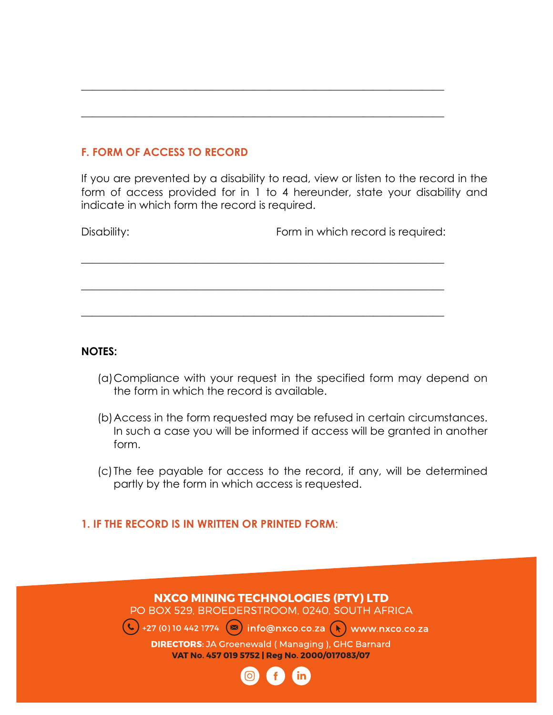# **F. FORM OF ACCESS TO RECORD**

If you are prevented by a disability to read, view or listen to the record in the form of access provided for in 1 to 4 hereunder, state your disability and indicate in which form the record is required.

| Disability: | Form in which record is required: |
|-------------|-----------------------------------|
|             |                                   |
|             |                                   |

\_\_\_\_\_\_\_\_\_\_\_\_\_\_\_\_\_\_\_\_\_\_\_\_\_\_\_\_\_\_\_\_\_\_\_\_\_\_\_\_\_\_\_\_\_\_\_\_\_\_\_\_\_\_\_\_\_\_\_\_\_\_\_\_\_\_\_

\_\_\_\_\_\_\_\_\_\_\_\_\_\_\_\_\_\_\_\_\_\_\_\_\_\_\_\_\_\_\_\_\_\_\_\_\_\_\_\_\_\_\_\_\_\_\_\_\_\_\_\_\_\_\_\_\_\_\_\_\_\_\_\_\_\_\_

\_\_\_\_\_\_\_\_\_\_\_\_\_\_\_\_\_\_\_\_\_\_\_\_\_\_\_\_\_\_\_\_\_\_\_\_\_\_\_\_\_\_\_\_\_\_\_\_\_\_\_\_\_\_\_\_\_\_\_\_\_\_\_\_\_\_\_

#### **NOTES:**

- (a)Compliance with your request in the specified form may depend on the form in which the record is available.
- (b)Access in the form requested may be refused in certain circumstances. In such a case you will be informed if access will be granted in another form.
- (c) The fee payable for access to the record, if any, will be determined partly by the form in which access is requested.

#### **1. IF THE RECORD IS IN WRITTEN OR PRINTED FORM**:

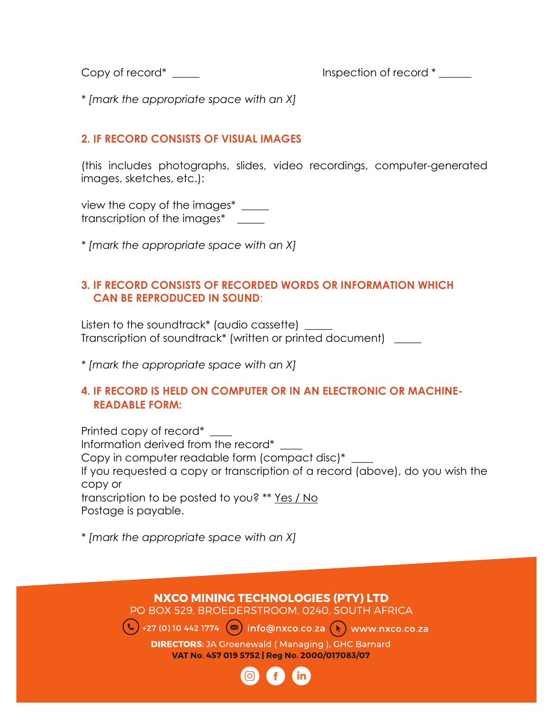Copy of record\* This record inspection of record  $*$ 

*\* [mark the appropriate space with an X]*

# **2. IF RECORD CONSISTS OF VISUAL IMAGES**

(this includes photographs, slides, video recordings, computer-generated images, sketches, etc.):

view the copy of the images\*  $\frac{1}{\sqrt{1-\frac{1}{c^2}}}$ transcription of the images\* \_\_\_\_\_

*\* [mark the appropriate space with an X]*

### **3. IF RECORD CONSISTS OF RECORDED WORDS OR INFORMATION WHICH CAN BE REPRODUCED IN SOUND**:

Listen to the soundtrack\* (audio cassette) \_\_\_\_\_ Transcription of soundtrack\* (written or printed document) \_\_\_\_\_

*\* [mark the appropriate space with an X]*

#### **4. IF RECORD IS HELD ON COMPUTER OR IN AN ELECTRONIC OR MACHINE- READABLE FORM:**

Printed copy of record\* \_\_\_\_ Information derived from the record\* \_\_\_\_ Copy in computer readable form (compact disc)\* \_\_\_\_ If you requested a copy or transcription of a record (above), do you wish the copy or transcription to be posted to you? \*\* Yes / No Postage is payable.

*\* [mark the appropriate space with an X]*

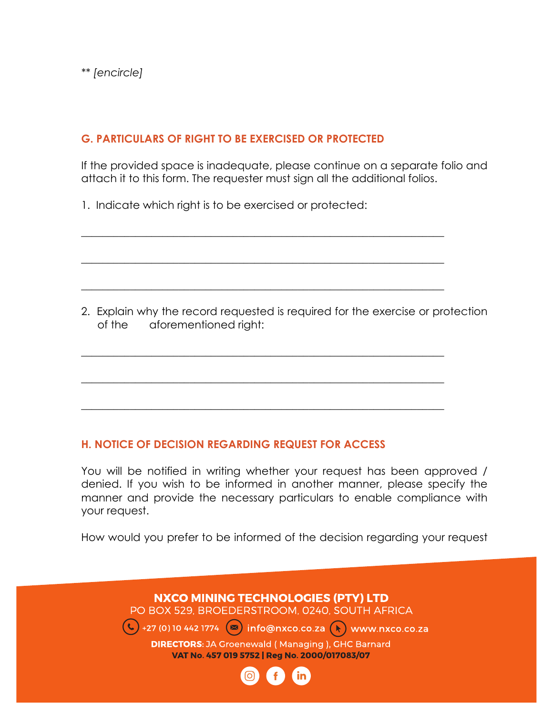# **G. PARTICULARS OF RIGHT TO BE EXERCISED OR PROTECTED**

If the provided space is inadequate, please continue on a separate folio and attach it to this form. The requester must sign all the additional folios.

\_\_\_\_\_\_\_\_\_\_\_\_\_\_\_\_\_\_\_\_\_\_\_\_\_\_\_\_\_\_\_\_\_\_\_\_\_\_\_\_\_\_\_\_\_\_\_\_\_\_\_\_\_\_\_\_\_\_\_\_\_\_\_\_\_\_\_

\_\_\_\_\_\_\_\_\_\_\_\_\_\_\_\_\_\_\_\_\_\_\_\_\_\_\_\_\_\_\_\_\_\_\_\_\_\_\_\_\_\_\_\_\_\_\_\_\_\_\_\_\_\_\_\_\_\_\_\_\_\_\_\_\_\_\_

\_\_\_\_\_\_\_\_\_\_\_\_\_\_\_\_\_\_\_\_\_\_\_\_\_\_\_\_\_\_\_\_\_\_\_\_\_\_\_\_\_\_\_\_\_\_\_\_\_\_\_\_\_\_\_\_\_\_\_\_\_\_\_\_\_\_\_

\_\_\_\_\_\_\_\_\_\_\_\_\_\_\_\_\_\_\_\_\_\_\_\_\_\_\_\_\_\_\_\_\_\_\_\_\_\_\_\_\_\_\_\_\_\_\_\_\_\_\_\_\_\_\_\_\_\_\_\_\_\_\_\_\_\_\_

\_\_\_\_\_\_\_\_\_\_\_\_\_\_\_\_\_\_\_\_\_\_\_\_\_\_\_\_\_\_\_\_\_\_\_\_\_\_\_\_\_\_\_\_\_\_\_\_\_\_\_\_\_\_\_\_\_\_\_\_\_\_\_\_\_\_\_

\_\_\_\_\_\_\_\_\_\_\_\_\_\_\_\_\_\_\_\_\_\_\_\_\_\_\_\_\_\_\_\_\_\_\_\_\_\_\_\_\_\_\_\_\_\_\_\_\_\_\_\_\_\_\_\_\_\_\_\_\_\_\_\_\_\_\_

1. Indicate which right is to be exercised or protected:

2. Explain why the record requested is required for the exercise or protection of the aforementioned right:

# **H. NOTICE OF DECISION REGARDING REQUEST FOR ACCESS**

You will be notified in writing whether your request has been approved / denied. If you wish to be informed in another manner, please specify the manner and provide the necessary particulars to enable compliance with your request.

How would you prefer to be informed of the decision regarding your request